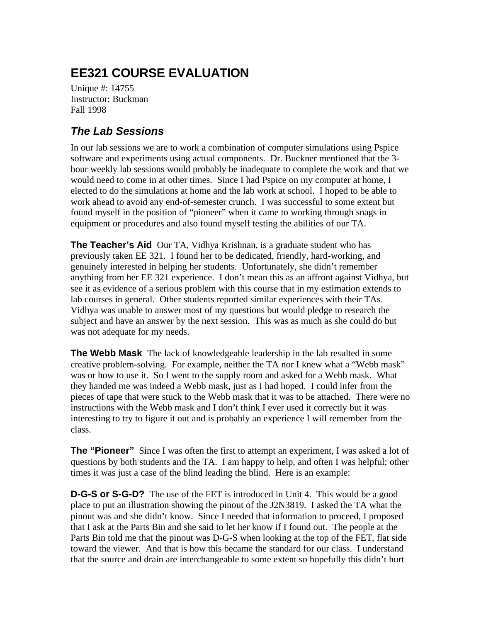# **EE321 COURSE EVALUATION**

Unique #: 14755 Instructor: Buckman Fall 1998

#### *The Lab Sessions*

In our lab sessions we are to work a combination of computer simulations using Pspice software and experiments using actual components. Dr. Buckner mentioned that the 3 hour weekly lab sessions would probably be inadequate to complete the work and that we would need to come in at other times. Since I had Pspice on my computer at home, I elected to do the simulations at home and the lab work at school. I hoped to be able to work ahead to avoid any end-of-semester crunch. I was successful to some extent but found myself in the position of "pioneer" when it came to working through snags in equipment or procedures and also found myself testing the abilities of our TA.

**The Teacher's Aid** Our TA, Vidhya Krishnan, is a graduate student who has previously taken EE 321. I found her to be dedicated, friendly, hard-working, and genuinely interested in helping her students. Unfortunately, she didn't remember anything from her EE 321 experience. I don't mean this as an affront against Vidhya, but see it as evidence of a serious problem with this course that in my estimation extends to lab courses in general. Other students reported similar experiences with their TAs. Vidhya was unable to answer most of my questions but would pledge to research the subject and have an answer by the next session. This was as much as she could do but was not adequate for my needs.

**The Webb Mask** The lack of knowledgeable leadership in the lab resulted in some creative problem-solving. For example, neither the TA nor I knew what a "Webb mask" was or how to use it. So I went to the supply room and asked for a Webb mask. What they handed me was indeed a Webb mask, just as I had hoped. I could infer from the pieces of tape that were stuck to the Webb mask that it was to be attached. There were no instructions with the Webb mask and I don't think I ever used it correctly but it was interesting to try to figure it out and is probably an experience I will remember from the class.

**The "Pioneer"** Since I was often the first to attempt an experiment, I was asked a lot of questions by both students and the TA. I am happy to help, and often I was helpful; other times it was just a case of the blind leading the blind. Here is an example:

**D-G-S or S-G-D?** The use of the FET is introduced in Unit 4. This would be a good place to put an illustration showing the pinout of the J2N3819. I asked the TA what the pinout was and she didn't know. Since I needed that information to proceed, I proposed that I ask at the Parts Bin and she said to let her know if I found out. The people at the Parts Bin told me that the pinout was D-G-S when looking at the top of the FET, flat side toward the viewer. And that is how this became the standard for our class. I understand that the source and drain are interchangeable to some extent so hopefully this didn't hurt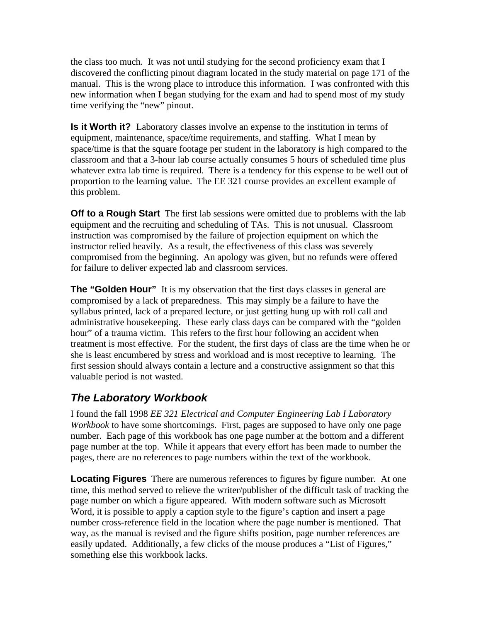the class too much. It was not until studying for the second proficiency exam that I discovered the conflicting pinout diagram located in the study material on page 171 of the manual. This is the wrong place to introduce this information. I was confronted with this new information when I began studying for the exam and had to spend most of my study time verifying the "new" pinout.

**Is it Worth it?** Laboratory classes involve an expense to the institution in terms of equipment, maintenance, space/time requirements, and staffing. What I mean by space/time is that the square footage per student in the laboratory is high compared to the classroom and that a 3-hour lab course actually consumes 5 hours of scheduled time plus whatever extra lab time is required. There is a tendency for this expense to be well out of proportion to the learning value. The EE 321 course provides an excellent example of this problem.

**Off to a Rough Start** The first lab sessions were omitted due to problems with the lab equipment and the recruiting and scheduling of TAs. This is not unusual. Classroom instruction was compromised by the failure of projection equipment on which the instructor relied heavily. As a result, the effectiveness of this class was severely compromised from the beginning. An apology was given, but no refunds were offered for failure to deliver expected lab and classroom services.

**The "Golden Hour"** It is my observation that the first days classes in general are compromised by a lack of preparedness. This may simply be a failure to have the syllabus printed, lack of a prepared lecture, or just getting hung up with roll call and administrative housekeeping. These early class days can be compared with the "golden hour" of a trauma victim. This refers to the first hour following an accident when treatment is most effective. For the student, the first days of class are the time when he or she is least encumbered by stress and workload and is most receptive to learning. The first session should always contain a lecture and a constructive assignment so that this valuable period is not wasted.

## *The Laboratory Workbook*

I found the fall 1998 *EE 321 Electrical and Computer Engineering Lab I Laboratory Workbook* to have some shortcomings. First, pages are supposed to have only one page number. Each page of this workbook has one page number at the bottom and a different page number at the top. While it appears that every effort has been made to number the pages, there are no references to page numbers within the text of the workbook.

**Locating Figures** There are numerous references to figures by figure number. At one time, this method served to relieve the writer/publisher of the difficult task of tracking the page number on which a figure appeared. With modern software such as Microsoft Word, it is possible to apply a caption style to the figure's caption and insert a page number cross-reference field in the location where the page number is mentioned. That way, as the manual is revised and the figure shifts position, page number references are easily updated. Additionally, a few clicks of the mouse produces a "List of Figures," something else this workbook lacks.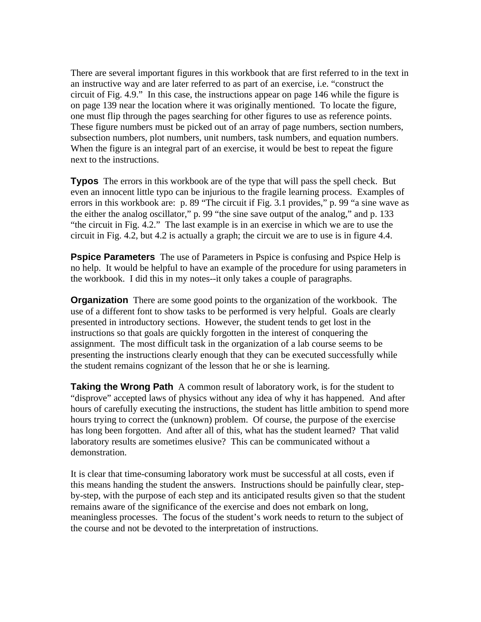There are several important figures in this workbook that are first referred to in the text in an instructive way and are later referred to as part of an exercise, i.e. "construct the circuit of Fig. 4.9." In this case, the instructions appear on page 146 while the figure is on page 139 near the location where it was originally mentioned. To locate the figure, one must flip through the pages searching for other figures to use as reference points. These figure numbers must be picked out of an array of page numbers, section numbers, subsection numbers, plot numbers, unit numbers, task numbers, and equation numbers. When the figure is an integral part of an exercise, it would be best to repeat the figure next to the instructions.

**Typos** The errors in this workbook are of the type that will pass the spell check. But even an innocent little typo can be injurious to the fragile learning process. Examples of errors in this workbook are: p. 89 "The circuit if Fig. 3.1 provides," p. 99 "a sine wave as the either the analog oscillator," p. 99 "the sine save output of the analog," and p. 133 "the circuit in Fig. 4.2." The last example is in an exercise in which we are to use the circuit in Fig. 4.2, but 4.2 is actually a graph; the circuit we are to use is in figure 4.4.

**Pspice Parameters** The use of Parameters in Pspice is confusing and Pspice Help is no help. It would be helpful to have an example of the procedure for using parameters in the workbook. I did this in my notes--it only takes a couple of paragraphs.

**Organization** There are some good points to the organization of the workbook. The use of a different font to show tasks to be performed is very helpful. Goals are clearly presented in introductory sections. However, the student tends to get lost in the instructions so that goals are quickly forgotten in the interest of conquering the assignment. The most difficult task in the organization of a lab course seems to be presenting the instructions clearly enough that they can be executed successfully while the student remains cognizant of the lesson that he or she is learning.

**Taking the Wrong Path** A common result of laboratory work, is for the student to "disprove" accepted laws of physics without any idea of why it has happened. And after hours of carefully executing the instructions, the student has little ambition to spend more hours trying to correct the (unknown) problem. Of course, the purpose of the exercise has long been forgotten. And after all of this, what has the student learned? That valid laboratory results are sometimes elusive? This can be communicated without a demonstration.

It is clear that time-consuming laboratory work must be successful at all costs, even if this means handing the student the answers. Instructions should be painfully clear, stepby-step, with the purpose of each step and its anticipated results given so that the student remains aware of the significance of the exercise and does not embark on long, meaningless processes. The focus of the student's work needs to return to the subject of the course and not be devoted to the interpretation of instructions.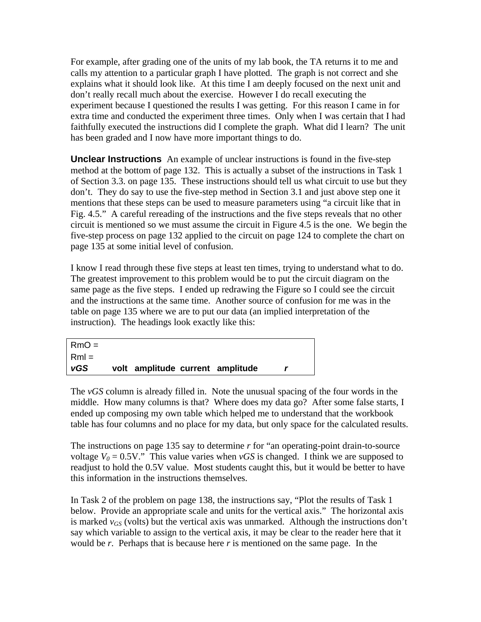For example, after grading one of the units of my lab book, the TA returns it to me and calls my attention to a particular graph I have plotted. The graph is not correct and she explains what it should look like. At this time I am deeply focused on the next unit and don't really recall much about the exercise. However I do recall executing the experiment because I questioned the results I was getting. For this reason I came in for extra time and conducted the experiment three times. Only when I was certain that I had faithfully executed the instructions did I complete the graph. What did I learn? The unit has been graded and I now have more important things to do.

**Unclear Instructions** An example of unclear instructions is found in the five-step method at the bottom of page 132. This is actually a subset of the instructions in Task 1 of Section 3.3. on page 135. These instructions should tell us what circuit to use but they don't. They do say to use the five-step method in Section 3.1 and just above step one it mentions that these steps can be used to measure parameters using "a circuit like that in Fig. 4.5." A careful rereading of the instructions and the five steps reveals that no other circuit is mentioned so we must assume the circuit in Figure 4.5 is the one. We begin the five-step process on page 132 applied to the circuit on page 124 to complete the chart on page 135 at some initial level of confusion.

I know I read through these five steps at least ten times, trying to understand what to do. The greatest improvement to this problem would be to put the circuit diagram on the same page as the five steps. I ended up redrawing the Figure so I could see the circuit and the instructions at the same time. Another source of confusion for me was in the table on page 135 where we are to put our data (an implied interpretation of the instruction). The headings look exactly like this:

| $RmO =$ |                                  |  |  |
|---------|----------------------------------|--|--|
| $Rm =$  |                                  |  |  |
| vGS     | volt amplitude current amplitude |  |  |

The *vGS* column is already filled in. Note the unusual spacing of the four words in the middle. How many columns is that? Where does my data go? After some false starts, I ended up composing my own table which helped me to understand that the workbook table has four columns and no place for my data, but only space for the calculated results.

The instructions on page 135 say to determine *r* for "an operating-point drain-to-source" voltage  $V_0 = 0.5V$ ." This value varies when *vGS* is changed. I think we are supposed to readjust to hold the 0.5V value. Most students caught this, but it would be better to have this information in the instructions themselves.

In Task 2 of the problem on page 138, the instructions say, "Plot the results of Task 1 below. Provide an appropriate scale and units for the vertical axis." The horizontal axis is marked  $v_{GS}$  (volts) but the vertical axis was unmarked. Although the instructions don't say which variable to assign to the vertical axis, it may be clear to the reader here that it would be *r*. Perhaps that is because here *r* is mentioned on the same page. In the